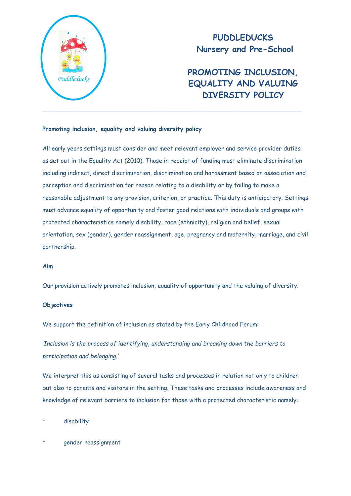

# **PUDDLEDUCKS Nursery and Pre-School**

**PROMOTING INCLUSION, EQUALITY AND VALUING DIVERSITY POLICY**

# **Promoting inclusion, equality and valuing diversity policy**

All early years settings must consider and meet relevant employer and service provider duties as set out in the Equality Act (2010). Those in receipt of funding must eliminate discrimination including indirect, direct discrimination, discrimination and harassment based on association and perception and discrimination for reason relating to a disability or by failing to make a reasonable adjustment to any provision, criterion, or practice. This duty is anticipatory. Settings must advance equality of opportunity and foster good relations with individuals and groups with protected characteristics namely disability, race (ethnicity), religion and belief, sexual orientation, sex (gender), gender reassignment, age, pregnancy and maternity, marriage, and civil partnership.

## **Aim**

Our provision actively promotes inclusion, equality of opportunity and the valuing of diversity.

## **Objectives**

We support the definition of inclusion as stated by the Early Childhood Forum:

'*Inclusion is the process of identifying, understanding and breaking down the barriers to participation and belonging.'*

We interpret this as consisting of several tasks and processes in relation not only to children but also to parents and visitors in the setting. These tasks and processes include awareness and knowledge of relevant barriers to inclusion for those with a protected characteristic namely:

- disability
- gender reassignment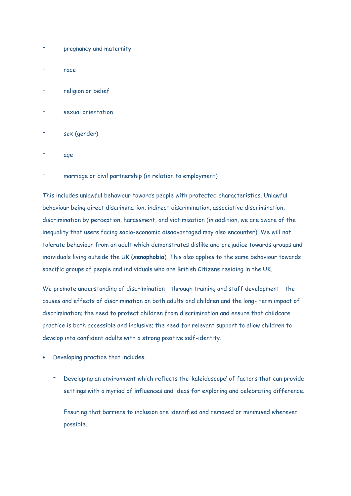- pregnancy and maternity
- race
- religion or belief
- sexual orientation
- sex (gender)
- age
- marriage or civil partnership (in relation to employment)

This includes unlawful behaviour towards people with protected characteristics. Unlawful behaviour being direct discrimination, indirect discrimination, associative discrimination, discrimination by perception, harassment, and victimisation (in addition, we are aware of the inequality that users facing socio-economic disadvantaged may also encounter). We will not tolerate behaviour from an adult which demonstrates dislike and prejudice towards groups and individuals living outside the UK (**xenophobia**). This also applies to the same behaviour towards specific groups of people and individuals who are British Citizens residing in the UK.

We promote understanding of discrimination - through training and staff development - the causes and effects of discrimination on both adults and children and the long- term impact of discrimination; the need to protect children from discrimination and ensure that childcare practice is both accessible and inclusive; the need for relevant support to allow children to develop into confident adults with a strong positive self-identity.

- Developing practice that includes:
	- Developing an environment which reflects the 'kaleidoscope' of factors that can provide settings with a myriad of influences and ideas for exploring and celebrating difference.
	- Ensuring that barriers to inclusion are identified and removed or minimised wherever possible.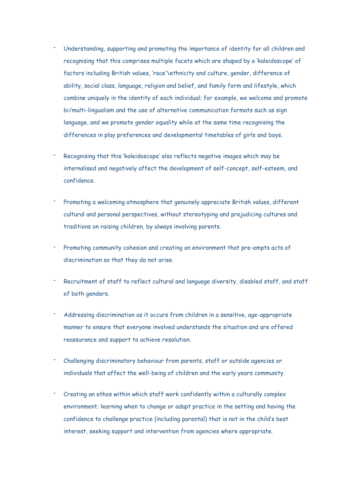- Understanding, supporting and promoting the importance of identity for all children and recognising that this comprises multiple facets which are shaped by a 'kaleidoscope' of factors including British values, 'race'\ethnicity and culture, gender, difference of ability, social class, language, religion and belief, and family form and lifestyle, which combine uniquely in the identity of each individual; for example, we welcome and promote bi/multi-lingualism and the use of alternative communication formats such as sign language, and we promote gender equality while at the same time recognising the differences in play preferences and developmental timetables of girls and boys.
- Recognising that this 'kaleidoscope' also reflects negative images which may be internalised and negatively affect the development of self-concept, self-esteem, and confidence.
- Promoting a welcoming atmosphere that genuinely appreciate British values, different cultural and personal perspectives, without stereotyping and prejudicing cultures and traditions on raising children, by always involving parents.
- Promoting community cohesion and creating an environment that pre-empts acts of discrimination so that they do not arise.
- Recruitment of staff to reflect cultural and language diversity, disabled staff, and staff of both genders.
- Addressing discrimination as it occurs from children in a sensitive, age-appropriate manner to ensure that everyone involved understands the situation and are offered reassurance and support to achieve resolution.
- Challenging discriminatory behaviour from parents, staff or outside agencies or individuals that affect the well-being of children and the early years community.
- Creating an ethos within which staff work confidently within a culturally complex environment; learning when to change or adapt practice in the setting and having the confidence to challenge practice (including parental) that is not in the child's best interest, seeking support and intervention from agencies where appropriate.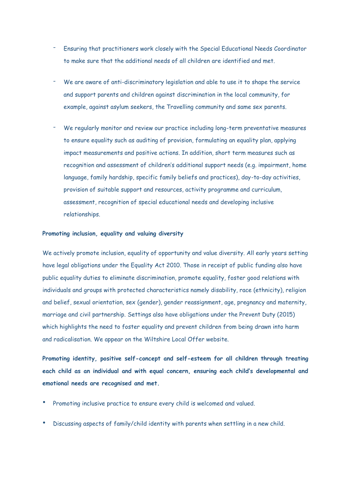- Ensuring that practitioners work closely with the Special Educational Needs Coordinator to make sure that the additional needs of all children are identified and met.
- We are aware of anti-discriminatory legislation and able to use it to shape the service and support parents and children against discrimination in the local community, for example, against asylum seekers, the Travelling community and same sex parents.
- We regularly monitor and review our practice including long-term preventative measures to ensure equality such as auditing of provision, formulating an equality plan, applying impact measurements and positive actions. In addition, short term measures such as recognition and assessment of children's additional support needs (e.g. impairment, home language, family hardship, specific family beliefs and practices), day-to-day activities, provision of suitable support and resources, activity programme and curriculum, assessment, recognition of special educational needs and developing inclusive relationships.

#### **Promoting inclusion, equality and valuing diversity**

We actively promote inclusion, equality of opportunity and value diversity. All early years setting have legal obligations under the Equality Act 2010. Those in receipt of public funding also have public equality duties to eliminate discrimination, promote equality, foster good relations with individuals and groups with protected characteristics namely disability, race (ethnicity), religion and belief, sexual orientation, sex (gender), gender reassignment, age, pregnancy and maternity, marriage and civil partnership. Settings also have obligations under the Prevent Duty (2015) which highlights the need to foster equality and prevent children from being drawn into harm and radicalisation. We appear on the Wiltshire Local Offer website.

**Promoting identity, positive self-concept and self-esteem for all children through treating each child as an individual and with equal concern, ensuring each child's developmental and emotional needs are recognised and met.**

- Promoting inclusive practice to ensure every child is welcomed and valued.
- Discussing aspects of family/child identity with parents when settling in a new child.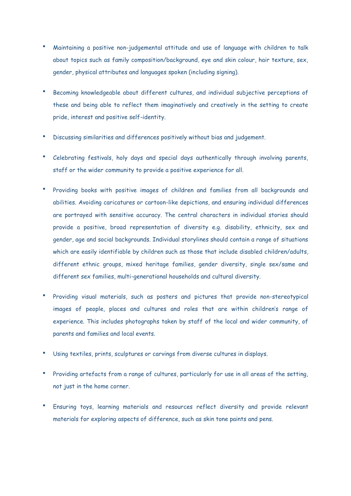- Maintaining a positive non-judgemental attitude and use of language with children to talk about topics such as family composition/background, eye and skin colour, hair texture, sex, gender, physical attributes and languages spoken (including signing).
- Becoming knowledgeable about different cultures, and individual subjective perceptions of these and being able to reflect them imaginatively and creatively in the setting to create pride, interest and positive self-identity.
- Discussing similarities and differences positively without bias and judgement.
- Celebrating festivals, holy days and special days authentically through involving parents, staff or the wider community to provide a positive experience for all.
- Providing books with positive images of children and families from all backgrounds and abilities. Avoiding caricatures or cartoon-like depictions, and ensuring individual differences are portrayed with sensitive accuracy. The central characters in individual stories should provide a positive, broad representation of diversity e.g. disability, ethnicity, sex and gender, age and social backgrounds. Individual storylines should contain a range of situations which are easily identifiable by children such as those that include disabled children/adults, different ethnic groups, mixed heritage families, gender diversity, single sex/same and different sex families, multi-generational households and cultural diversity.
- Providing visual materials, such as posters and pictures that provide non-stereotypical images of people, places and cultures and roles that are within children's range of experience. This includes photographs taken by staff of the local and wider community, of parents and families and local events.
- Using textiles, prints, sculptures or carvings from diverse cultures in displays.
- Providing artefacts from a range of cultures, particularly for use in all areas of the setting, not just in the home corner.
- Ensuring toys, learning materials and resources reflect diversity and provide relevant materials for exploring aspects of difference, such as skin tone paints and pens.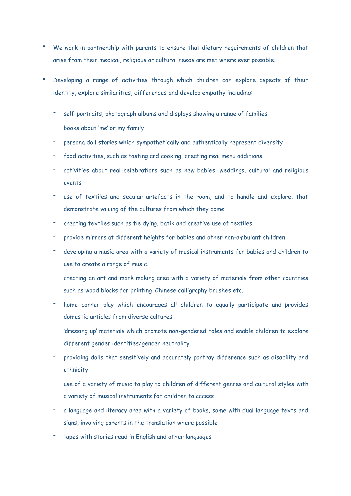- We work in partnership with parents to ensure that dietary requirements of children that arise from their medical, religious or cultural needs are met where ever possible.
- Developing a range of activities through which children can explore aspects of their identity, explore similarities, differences and develop empathy including:
	- self-portraits, photograph albums and displays showing a range of families
	- books about 'me' or my family
	- persona doll stories which sympathetically and authentically represent diversity
	- food activities, such as tasting and cooking, creating real menu additions
	- activities about real celebrations such as new babies, weddings, cultural and religious events
	- use of textiles and secular artefacts in the room, and to handle and explore, that demonstrate valuing of the cultures from which they come
	- creating textiles such as tie dying, batik and creative use of textiles
	- provide mirrors at different heights for babies and other non-ambulant children
	- developing a music area with a variety of musical instruments for babies and children to use to create a range of music.
	- creating an art and mark making area with a variety of materials from other countries such as wood blocks for printing, Chinese calligraphy brushes etc.
	- home corner play which encourages all children to equally participate and provides domestic articles from diverse cultures
	- 'dressing up' materials which promote non-gendered roles and enable children to explore different gender identities/gender neutrality
	- providing dolls that sensitively and accurately portray difference such as disability and ethnicity
	- use of a variety of music to play to children of different genres and cultural styles with a variety of musical instruments for children to access
	- a language and literacy area with a variety of books, some with dual language texts and signs, involving parents in the translation where possible
	- tapes with stories read in English and other languages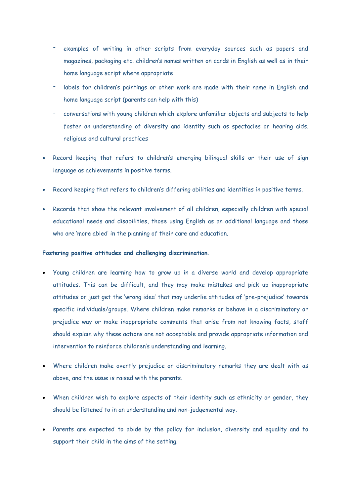- examples of writing in other scripts from everyday sources such as papers and magazines, packaging etc. children's names written on cards in English as well as in their home language script where appropriate
- labels for children's paintings or other work are made with their name in English and home language script (parents can help with this)
- conversations with young children which explore unfamiliar objects and subjects to help foster an understanding of diversity and identity such as spectacles or hearing aids, religious and cultural practices
- Record keeping that refers to children's emerging bilingual skills or their use of sign language as achievements in positive terms.
- Record keeping that refers to children's differing abilities and identities in positive terms.
- Records that show the relevant involvement of all children, especially children with special educational needs and disabilities, those using English as an additional language and those who are 'more abled' in the planning of their care and education.

## **Fostering positive attitudes and challenging discrimination.**

- Young children are learning how to grow up in a diverse world and develop appropriate attitudes. This can be difficult, and they may make mistakes and pick up inappropriate attitudes or just get the 'wrong idea' that may underlie attitudes of 'pre-prejudice' towards specific individuals/groups. Where children make remarks or behave in a discriminatory or prejudice way or make inappropriate comments that arise from not knowing facts, staff should explain why these actions are not acceptable and provide appropriate information and intervention to reinforce children's understanding and learning.
- Where children make overtly prejudice or discriminatory remarks they are dealt with as above, and the issue is raised with the parents.
- When children wish to explore aspects of their identity such as ethnicity or gender, they should be listened to in an understanding and non-judgemental way.
- Parents are expected to abide by the policy for inclusion, diversity and equality and to support their child in the aims of the setting.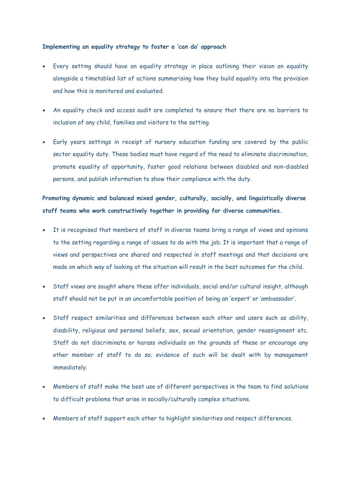### **Implementing an equality strategy to foster a 'can do' approach**

- Every setting should have an equality strategy in place outlining their vision on equality alongside a timetabled list of actions summarising how they build equality into the provision and how this is monitored and evaluated.
- An equality check and access audit are completed to ensure that there are no barriers to inclusion of any child, families and visitors to the setting.
- Early years settings in receipt of nursery education funding are covered by the public sector equality duty. These bodies must have regard of the need to eliminate discrimination, promote equality of opportunity, foster good relations between disabled and non-disabled persons, and publish information to show their compliance with the duty.

**Promoting dynamic and balanced mixed gender, culturally, socially, and linguistically diverse staff teams who work constructively together in providing for diverse communities.**

- It is recognised that members of staff in diverse teams bring a range of views and opinions to the setting regarding a range of issues to do with the job. It is important that a range of views and perspectives are shared and respected in staff meetings and that decisions are made on which way of looking at the situation will result in the best outcomes for the child.
- Staff views are sought where these offer individuals, social and/or cultural insight, although staff should not be put in an uncomfortable position of being an 'expert' or 'ambassador'.
- Staff respect similarities and differences between each other and users such as ability, disability, religious and personal beliefs, sex, sexual orientation, gender reassignment etc. Staff do not discriminate or harass individuals on the grounds of these or encourage any other member of staff to do so; evidence of such will be dealt with by management immediately.
- Members of staff make the best use of different perspectives in the team to find solutions to difficult problems that arise in socially/culturally complex situations.
- Members of staff support each other to highlight similarities and respect differences.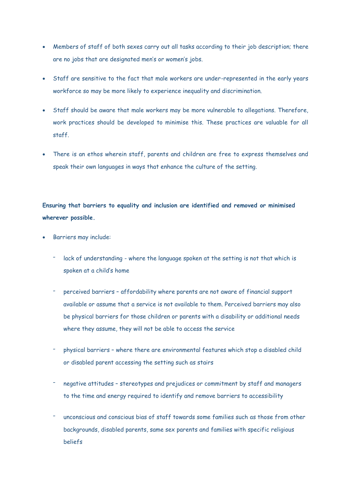- Members of staff of both sexes carry out all tasks according to their job description; there are no jobs that are designated men's or women's jobs.
- Staff are sensitive to the fact that male workers are under-represented in the early years workforce so may be more likely to experience inequality and discrimination.
- Staff should be aware that male workers may be more vulnerable to allegations. Therefore, work practices should be developed to minimise this. These practices are valuable for all staff.
- There is an ethos wherein staff, parents and children are free to express themselves and speak their own languages in ways that enhance the culture of the setting.

# **Ensuring that barriers to equality and inclusion are identified and removed or minimised wherever possible.**

- Barriers may include:
	- lack of understanding where the language spoken at the setting is not that which is spoken at a child's home
	- perceived barriers affordability where parents are not aware of financial support available or assume that a service is not available to them. Perceived barriers may also be physical barriers for those children or parents with a disability or additional needs where they assume, they will not be able to access the service
	- physical barriers where there are environmental features which stop a disabled child or disabled parent accessing the setting such as stairs
	- negative attitudes stereotypes and prejudices or commitment by staff and managers to the time and energy required to identify and remove barriers to accessibility
	- unconscious and conscious bias of staff towards some families such as those from other backgrounds, disabled parents, same sex parents and families with specific religious beliefs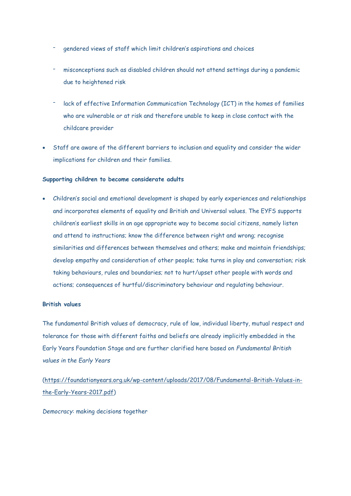- gendered views of staff which limit children's aspirations and choices
- misconceptions such as disabled children should not attend settings during a pandemic due to heightened risk
- lack of effective Information Communication Technology (ICT) in the homes of families who are vulnerable or at risk and therefore unable to keep in close contact with the childcare provider
- Staff are aware of the different barriers to inclusion and equality and consider the wider implications for children and their families.

## **Supporting children to become considerate adults**

 Children's social and emotional development is shaped by early experiences and relationships and incorporates elements of equality and British and Universal values. The EYFS supports children's earliest skills in an age appropriate way to become social citizens, namely listen and attend to instructions; know the difference between right and wrong; recognise similarities and differences between themselves and others; make and maintain friendships; develop empathy and consideration of other people; take turns in play and conversation; risk taking behaviours, rules and boundaries; not to hurt/upset other people with words and actions; consequences of hurtful/discriminatory behaviour and regulating behaviour.

## **British values**

The fundamental British values of democracy, rule of law, individual liberty, mutual respect and tolerance for those with different faiths and beliefs are already implicitly embedded in the Early Years Foundation Stage and are further clarified here based on *Fundamental British values in the Early Years*

[\(https://foundationyears.org.uk/wp-content/uploads/2017/08/Fundamental-British-Values-in](https://foundationyears.org.uk/wp-content/uploads/2017/08/Fundamental-British-Values-in-the-Early-Years-2017.pdf)[the-Early-Years-2017.pdf\)](https://foundationyears.org.uk/wp-content/uploads/2017/08/Fundamental-British-Values-in-the-Early-Years-2017.pdf)

*Democracy*: making decisions together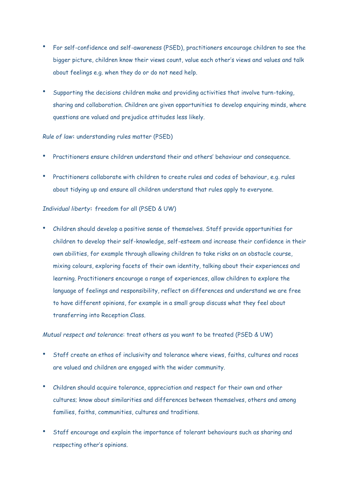- For self-confidence and self-awareness (PSED), practitioners encourage children to see the bigger picture, children know their views count, value each other's views and values and talk about feelings e.g. when they do or do not need help.
- Supporting the decisions children make and providing activities that involve turn-taking, sharing and collaboration. Children are given opportunities to develop enquiring minds, where questions are valued and prejudice attitudes less likely.

## *Rule of law***:** understanding rules matter (PSED)

- Practitioners ensure children understand their and others' behaviour and consequence.
- Practitioners collaborate with children to create rules and codes of behaviour, e.g. rules about tidying up and ensure all children understand that rules apply to everyone.

## *Individual liberty***:** freedom for all (PSED & UW)

• Children should develop a positive sense of themselves. Staff provide opportunities for children to develop their self-knowledge, self-esteem and increase their confidence in their own abilities, for example through allowing children to take risks on an obstacle course, mixing colours, exploring facets of their own identity, talking about their experiences and learning. Practitioners encourage a range of experiences, allow children to explore the language of feelings and responsibility, reflect on differences and understand we are free to have different opinions, for example in a small group discuss what they feel about transferring into Reception Class.

### *Mutual respect and tolerance*: treat others as you want to be treated (PSED & UW)

- Staff create an ethos of inclusivity and tolerance where views, faiths, cultures and races are valued and children are engaged with the wider community.
- Children should acquire tolerance, appreciation and respect for their own and other cultures; know about similarities and differences between themselves, others and among families, faiths, communities, cultures and traditions.
- Staff encourage and explain the importance of tolerant behaviours such as sharing and respecting other's opinions.